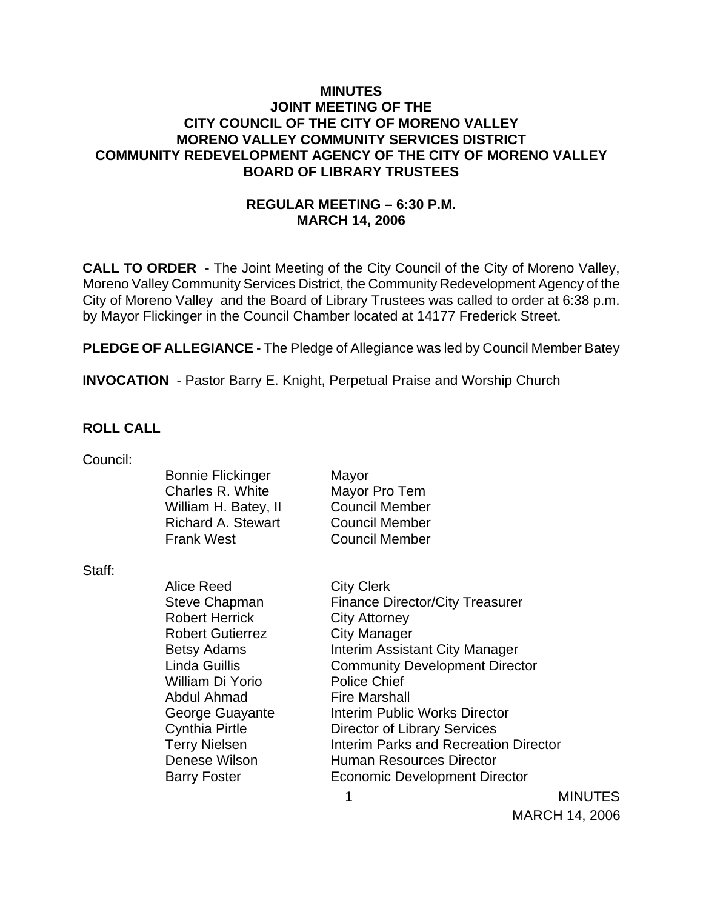### **MINUTES JOINT MEETING OF THE CITY COUNCIL OF THE CITY OF MORENO VALLEY MORENO VALLEY COMMUNITY SERVICES DISTRICT COMMUNITY REDEVELOPMENT AGENCY OF THE CITY OF MORENO VALLEY BOARD OF LIBRARY TRUSTEES**

## **REGULAR MEETING – 6:30 P.M. MARCH 14, 2006**

**CALL TO ORDER** - The Joint Meeting of the City Council of the City of Moreno Valley, Moreno Valley Community Services District, the Community Redevelopment Agency of the City of Moreno Valley and the Board of Library Trustees was called to order at 6:38 p.m. by Mayor Flickinger in the Council Chamber located at 14177 Frederick Street.

**PLEDGE OF ALLEGIANCE** - The Pledge of Allegiance was led by Council Member Batey

**INVOCATION** - Pastor Barry E. Knight, Perpetual Praise and Worship Church

#### **ROLL CALL**

Council:

Bonnie Flickinger Mayor Charles R. White Mayor Pro Tem William H. Batey, II Council Member Richard A. Stewart Council Member Frank West Council Member

Staff:

Alice Reed City Clerk Robert Herrick City Attorney Robert Gutierrez **City Manager** William Di Yorio Police Chief Abdul Ahmad Fire Marshall

Steve Chapman Finance Director/City Treasurer Betsy Adams **Interim Assistant City Manager** Linda Guillis Community Development Director George Guayante **Interim Public Works Director** Cynthia Pirtle Director of Library Services Terry Nielsen **Interim Parks and Recreation Director** Denese Wilson **Human Resources Director** Barry Foster **Economic Development Director** 

 1 MINUTES MARCH 14, 2006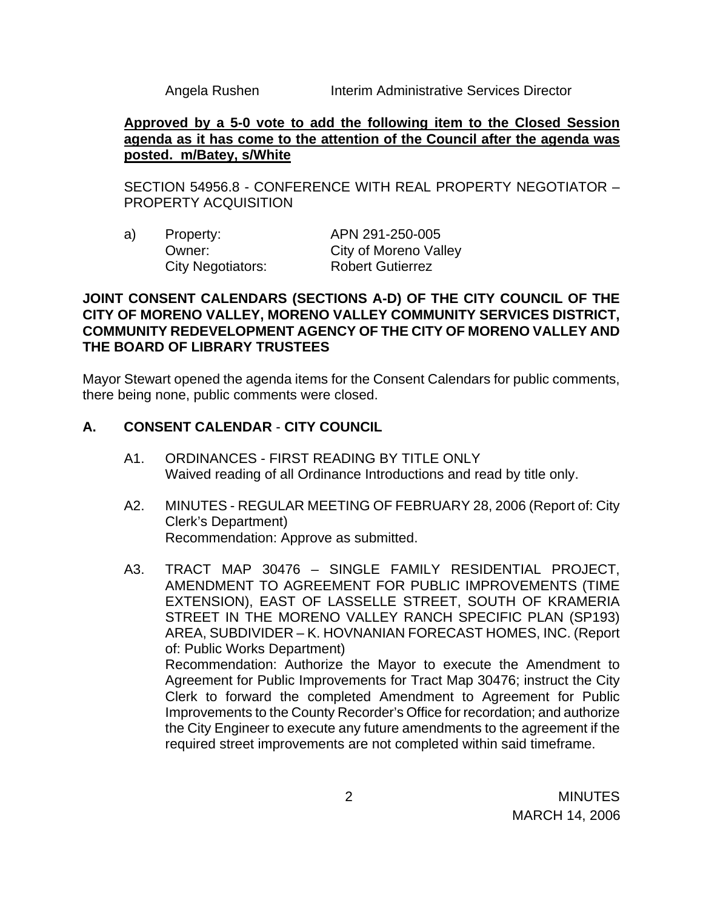Angela Rushen Interim Administrative Services Director

### **Approved by a 5-0 vote to add the following item to the Closed Session agenda as it has come to the attention of the Council after the agenda was posted. m/Batey, s/White**

SECTION 54956.8 - CONFERENCE WITH REAL PROPERTY NEGOTIATOR – PROPERTY ACQUISITION

| a) | Property:         | APN 291-250-005         |
|----|-------------------|-------------------------|
|    | Owner:            | City of Moreno Valley   |
|    | City Negotiators: | <b>Robert Gutierrez</b> |

### **JOINT CONSENT CALENDARS (SECTIONS A-D) OF THE CITY COUNCIL OF THE CITY OF MORENO VALLEY, MORENO VALLEY COMMUNITY SERVICES DISTRICT, COMMUNITY REDEVELOPMENT AGENCY OF THE CITY OF MORENO VALLEY AND THE BOARD OF LIBRARY TRUSTEES**

Mayor Stewart opened the agenda items for the Consent Calendars for public comments, there being none, public comments were closed.

## **A. CONSENT CALENDAR** - **CITY COUNCIL**

- A1. ORDINANCES FIRST READING BY TITLE ONLY Waived reading of all Ordinance Introductions and read by title only.
- A2. MINUTES REGULAR MEETING OF FEBRUARY 28, 2006 (Report of: City Clerk's Department) Recommendation: Approve as submitted.
- A3. TRACT MAP 30476 SINGLE FAMILY RESIDENTIAL PROJECT, AMENDMENT TO AGREEMENT FOR PUBLIC IMPROVEMENTS (TIME EXTENSION), EAST OF LASSELLE STREET, SOUTH OF KRAMERIA STREET IN THE MORENO VALLEY RANCH SPECIFIC PLAN (SP193) AREA, SUBDIVIDER – K. HOVNANIAN FORECAST HOMES, INC. (Report of: Public Works Department) Recommendation: Authorize the Mayor to execute the Amendment to Agreement for Public Improvements for Tract Map 30476; instruct the City Clerk to forward the completed Amendment to Agreement for Public Improvements to the County Recorder's Office for recordation; and authorize the City Engineer to execute any future amendments to the agreement if the required street improvements are not completed within said timeframe.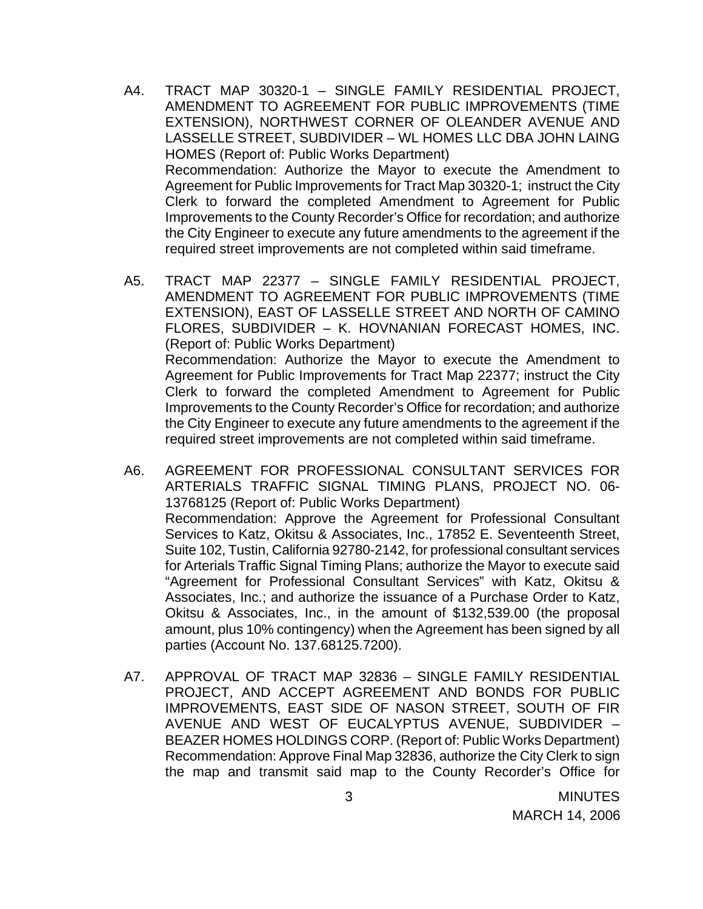- A4. TRACT MAP 30320-1 SINGLE FAMILY RESIDENTIAL PROJECT, AMENDMENT TO AGREEMENT FOR PUBLIC IMPROVEMENTS (TIME EXTENSION), NORTHWEST CORNER OF OLEANDER AVENUE AND LASSELLE STREET, SUBDIVIDER – WL HOMES LLC DBA JOHN LAING HOMES (Report of: Public Works Department) Recommendation: Authorize the Mayor to execute the Amendment to Agreement for Public Improvements for Tract Map 30320-1; instruct the City Clerk to forward the completed Amendment to Agreement for Public Improvements to the County Recorder's Office for recordation; and authorize the City Engineer to execute any future amendments to the agreement if the required street improvements are not completed within said timeframe.
- A5. TRACT MAP 22377 SINGLE FAMILY RESIDENTIAL PROJECT, AMENDMENT TO AGREEMENT FOR PUBLIC IMPROVEMENTS (TIME EXTENSION), EAST OF LASSELLE STREET AND NORTH OF CAMINO FLORES, SUBDIVIDER – K. HOVNANIAN FORECAST HOMES, INC. (Report of: Public Works Department) Recommendation: Authorize the Mayor to execute the Amendment to Agreement for Public Improvements for Tract Map 22377; instruct the City Clerk to forward the completed Amendment to Agreement for Public Improvements to the County Recorder's Office for recordation; and authorize the City Engineer to execute any future amendments to the agreement if the required street improvements are not completed within said timeframe.
- A6. AGREEMENT FOR PROFESSIONAL CONSULTANT SERVICES FOR ARTERIALS TRAFFIC SIGNAL TIMING PLANS, PROJECT NO. 06- 13768125 (Report of: Public Works Department) Recommendation: Approve the Agreement for Professional Consultant Services to Katz, Okitsu & Associates, Inc., 17852 E. Seventeenth Street, Suite 102, Tustin, California 92780-2142, for professional consultant services for Arterials Traffic Signal Timing Plans; authorize the Mayor to execute said "Agreement for Professional Consultant Services" with Katz, Okitsu & Associates, Inc.; and authorize the issuance of a Purchase Order to Katz, Okitsu & Associates, Inc., in the amount of \$132,539.00 (the proposal amount, plus 10% contingency) when the Agreement has been signed by all parties (Account No. 137.68125.7200).
- A7. APPROVAL OF TRACT MAP 32836 SINGLE FAMILY RESIDENTIAL PROJECT, AND ACCEPT AGREEMENT AND BONDS FOR PUBLIC IMPROVEMENTS, EAST SIDE OF NASON STREET, SOUTH OF FIR AVENUE AND WEST OF EUCALYPTUS AVENUE, SUBDIVIDER – BEAZER HOMES HOLDINGS CORP. (Report of: Public Works Department) Recommendation: Approve Final Map 32836, authorize the City Clerk to sign the map and transmit said map to the County Recorder's Office for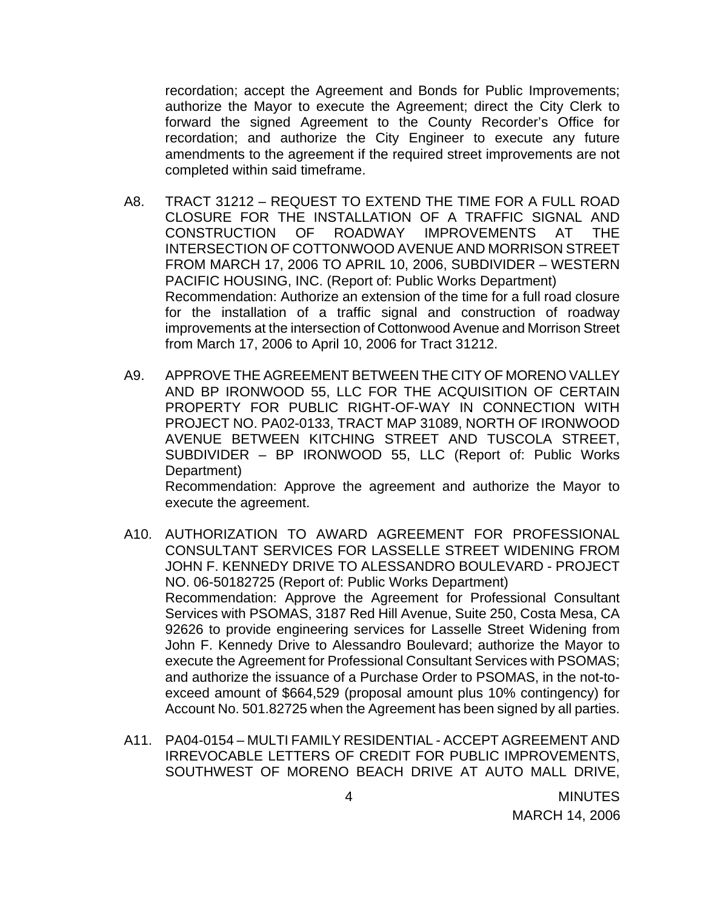recordation; accept the Agreement and Bonds for Public Improvements; authorize the Mayor to execute the Agreement; direct the City Clerk to forward the signed Agreement to the County Recorder's Office for recordation; and authorize the City Engineer to execute any future amendments to the agreement if the required street improvements are not completed within said timeframe.

- A8. TRACT 31212 REQUEST TO EXTEND THE TIME FOR A FULL ROAD CLOSURE FOR THE INSTALLATION OF A TRAFFIC SIGNAL AND CONSTRUCTION OF ROADWAY IMPROVEMENTS AT THE INTERSECTION OF COTTONWOOD AVENUE AND MORRISON STREET FROM MARCH 17, 2006 TO APRIL 10, 2006, SUBDIVIDER – WESTERN PACIFIC HOUSING, INC. (Report of: Public Works Department) Recommendation: Authorize an extension of the time for a full road closure for the installation of a traffic signal and construction of roadway improvements at the intersection of Cottonwood Avenue and Morrison Street from March 17, 2006 to April 10, 2006 for Tract 31212.
- A9. APPROVE THE AGREEMENT BETWEEN THE CITY OF MORENO VALLEY AND BP IRONWOOD 55, LLC FOR THE ACQUISITION OF CERTAIN PROPERTY FOR PUBLIC RIGHT-OF-WAY IN CONNECTION WITH PROJECT NO. PA02-0133, TRACT MAP 31089, NORTH OF IRONWOOD AVENUE BETWEEN KITCHING STREET AND TUSCOLA STREET, SUBDIVIDER – BP IRONWOOD 55, LLC (Report of: Public Works Department)

 Recommendation: Approve the agreement and authorize the Mayor to execute the agreement.

- A10. AUTHORIZATION TO AWARD AGREEMENT FOR PROFESSIONAL CONSULTANT SERVICES FOR LASSELLE STREET WIDENING FROM JOHN F. KENNEDY DRIVE TO ALESSANDRO BOULEVARD - PROJECT NO. 06-50182725 (Report of: Public Works Department) Recommendation: Approve the Agreement for Professional Consultant Services with PSOMAS, 3187 Red Hill Avenue, Suite 250, Costa Mesa, CA 92626 to provide engineering services for Lasselle Street Widening from John F. Kennedy Drive to Alessandro Boulevard; authorize the Mayor to execute the Agreement for Professional Consultant Services with PSOMAS; and authorize the issuance of a Purchase Order to PSOMAS, in the not-toexceed amount of \$664,529 (proposal amount plus 10% contingency) for Account No. 501.82725 when the Agreement has been signed by all parties.
- A11. PA04-0154 MULTI FAMILY RESIDENTIAL ACCEPT AGREEMENT AND IRREVOCABLE LETTERS OF CREDIT FOR PUBLIC IMPROVEMENTS, SOUTHWEST OF MORENO BEACH DRIVE AT AUTO MALL DRIVE,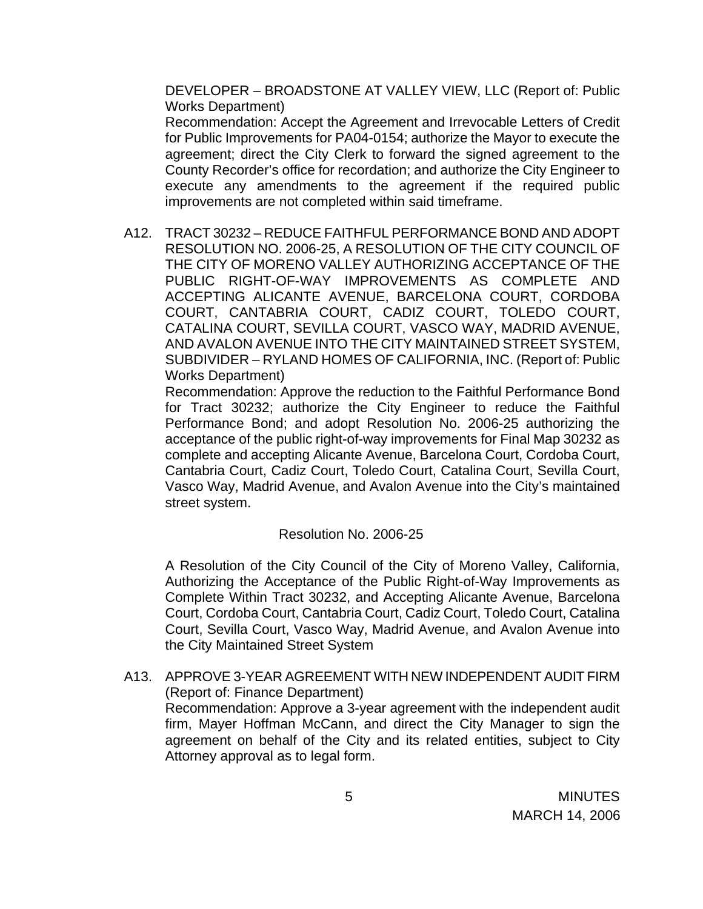DEVELOPER – BROADSTONE AT VALLEY VIEW, LLC (Report of: Public Works Department)

 Recommendation: Accept the Agreement and Irrevocable Letters of Credit for Public Improvements for PA04-0154; authorize the Mayor to execute the agreement; direct the City Clerk to forward the signed agreement to the County Recorder's office for recordation; and authorize the City Engineer to execute any amendments to the agreement if the required public improvements are not completed within said timeframe.

A12. TRACT 30232 – REDUCE FAITHFUL PERFORMANCE BOND AND ADOPT RESOLUTION NO. 2006-25, A RESOLUTION OF THE CITY COUNCIL OF THE CITY OF MORENO VALLEY AUTHORIZING ACCEPTANCE OF THE PUBLIC RIGHT-OF-WAY IMPROVEMENTS AS COMPLETE AND ACCEPTING ALICANTE AVENUE, BARCELONA COURT, CORDOBA COURT, CANTABRIA COURT, CADIZ COURT, TOLEDO COURT, CATALINA COURT, SEVILLA COURT, VASCO WAY, MADRID AVENUE, AND AVALON AVENUE INTO THE CITY MAINTAINED STREET SYSTEM, SUBDIVIDER – RYLAND HOMES OF CALIFORNIA, INC. (Report of: Public Works Department)

 Recommendation: Approve the reduction to the Faithful Performance Bond for Tract 30232; authorize the City Engineer to reduce the Faithful Performance Bond; and adopt Resolution No. 2006-25 authorizing the acceptance of the public right-of-way improvements for Final Map 30232 as complete and accepting Alicante Avenue, Barcelona Court, Cordoba Court, Cantabria Court, Cadiz Court, Toledo Court, Catalina Court, Sevilla Court, Vasco Way, Madrid Avenue, and Avalon Avenue into the City's maintained street system.

### Resolution No. 2006-25

A Resolution of the City Council of the City of Moreno Valley, California, Authorizing the Acceptance of the Public Right-of-Way Improvements as Complete Within Tract 30232, and Accepting Alicante Avenue, Barcelona Court, Cordoba Court, Cantabria Court, Cadiz Court, Toledo Court, Catalina Court, Sevilla Court, Vasco Way, Madrid Avenue, and Avalon Avenue into the City Maintained Street System

A13. APPROVE 3-YEAR AGREEMENT WITH NEW INDEPENDENT AUDIT FIRM (Report of: Finance Department) Recommendation: Approve a 3-year agreement with the independent audit firm, Mayer Hoffman McCann, and direct the City Manager to sign the agreement on behalf of the City and its related entities, subject to City Attorney approval as to legal form.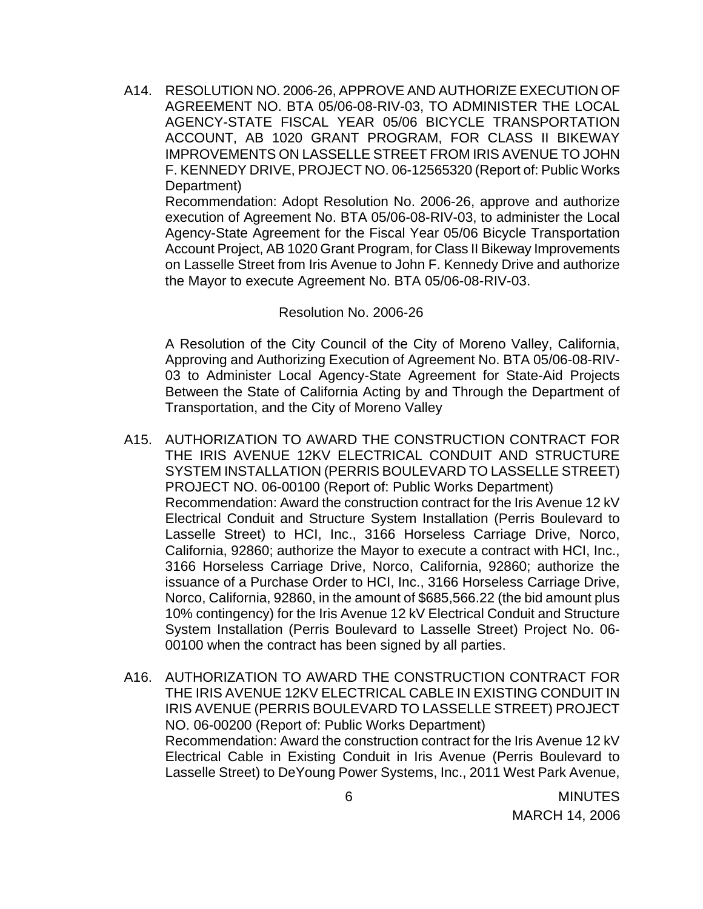A14. RESOLUTION NO. 2006-26, APPROVE AND AUTHORIZE EXECUTION OF AGREEMENT NO. BTA 05/06-08-RIV-03, TO ADMINISTER THE LOCAL AGENCY-STATE FISCAL YEAR 05/06 BICYCLE TRANSPORTATION ACCOUNT, AB 1020 GRANT PROGRAM, FOR CLASS II BIKEWAY IMPROVEMENTS ON LASSELLE STREET FROM IRIS AVENUE TO JOHN F. KENNEDY DRIVE, PROJECT NO. 06-12565320 (Report of: Public Works Department)

 Recommendation: Adopt Resolution No. 2006-26, approve and authorize execution of Agreement No. BTA 05/06-08-RIV-03, to administer the Local Agency-State Agreement for the Fiscal Year 05/06 Bicycle Transportation Account Project, AB 1020 Grant Program, for Class II Bikeway Improvements on Lasselle Street from Iris Avenue to John F. Kennedy Drive and authorize the Mayor to execute Agreement No. BTA 05/06-08-RIV-03.

#### Resolution No. 2006-26

A Resolution of the City Council of the City of Moreno Valley, California, Approving and Authorizing Execution of Agreement No. BTA 05/06-08-RIV-03 to Administer Local Agency-State Agreement for State-Aid Projects Between the State of California Acting by and Through the Department of Transportation, and the City of Moreno Valley

- A15. AUTHORIZATION TO AWARD THE CONSTRUCTION CONTRACT FOR THE IRIS AVENUE 12KV ELECTRICAL CONDUIT AND STRUCTURE SYSTEM INSTALLATION (PERRIS BOULEVARD TO LASSELLE STREET) PROJECT NO. 06-00100 (Report of: Public Works Department) Recommendation: Award the construction contract for the Iris Avenue 12 kV Electrical Conduit and Structure System Installation (Perris Boulevard to Lasselle Street) to HCI, Inc., 3166 Horseless Carriage Drive, Norco, California, 92860; authorize the Mayor to execute a contract with HCI, Inc., 3166 Horseless Carriage Drive, Norco, California, 92860; authorize the issuance of a Purchase Order to HCI, Inc., 3166 Horseless Carriage Drive, Norco, California, 92860, in the amount of \$685,566.22 (the bid amount plus 10% contingency) for the Iris Avenue 12 kV Electrical Conduit and Structure System Installation (Perris Boulevard to Lasselle Street) Project No. 06- 00100 when the contract has been signed by all parties.
- A16. AUTHORIZATION TO AWARD THE CONSTRUCTION CONTRACT FOR THE IRIS AVENUE 12KV ELECTRICAL CABLE IN EXISTING CONDUIT IN IRIS AVENUE (PERRIS BOULEVARD TO LASSELLE STREET) PROJECT NO. 06-00200 (Report of: Public Works Department) Recommendation: Award the construction contract for the Iris Avenue 12 kV Electrical Cable in Existing Conduit in Iris Avenue (Perris Boulevard to Lasselle Street) to DeYoung Power Systems, Inc., 2011 West Park Avenue,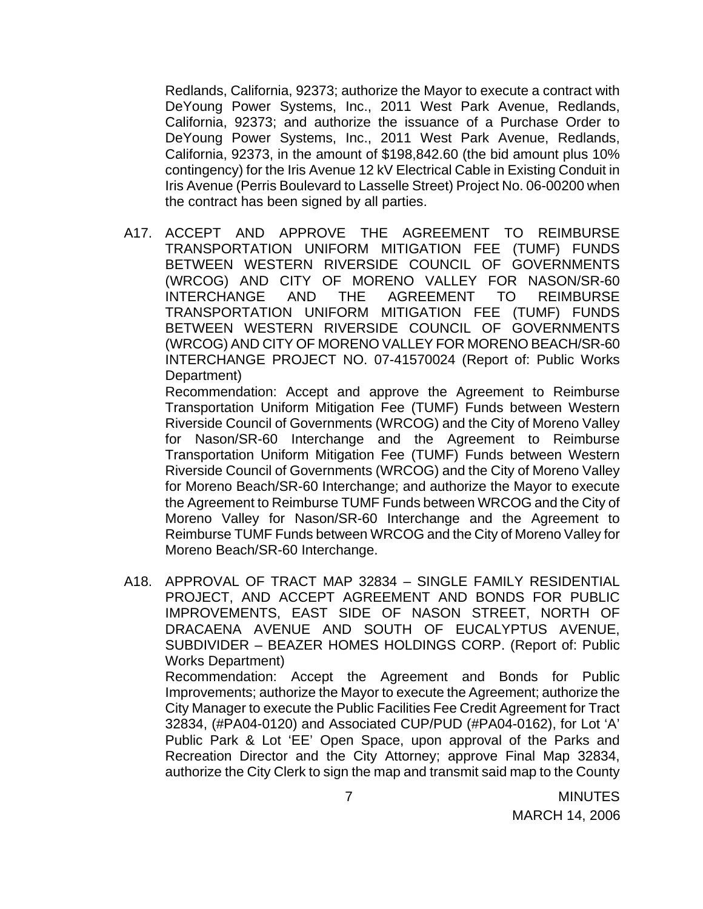Redlands, California, 92373; authorize the Mayor to execute a contract with DeYoung Power Systems, Inc., 2011 West Park Avenue, Redlands, California, 92373; and authorize the issuance of a Purchase Order to DeYoung Power Systems, Inc., 2011 West Park Avenue, Redlands, California, 92373, in the amount of \$198,842.60 (the bid amount plus 10% contingency) for the Iris Avenue 12 kV Electrical Cable in Existing Conduit in Iris Avenue (Perris Boulevard to Lasselle Street) Project No. 06-00200 when the contract has been signed by all parties.

A17. ACCEPT AND APPROVE THE AGREEMENT TO REIMBURSE TRANSPORTATION UNIFORM MITIGATION FEE (TUMF) FUNDS BETWEEN WESTERN RIVERSIDE COUNCIL OF GOVERNMENTS (WRCOG) AND CITY OF MORENO VALLEY FOR NASON/SR-60 INTERCHANGE AND THE AGREEMENT TO REIMBURSE TRANSPORTATION UNIFORM MITIGATION FEE (TUMF) FUNDS BETWEEN WESTERN RIVERSIDE COUNCIL OF GOVERNMENTS (WRCOG) AND CITY OF MORENO VALLEY FOR MORENO BEACH/SR-60 INTERCHANGE PROJECT NO. 07-41570024 (Report of: Public Works Department)

 Recommendation: Accept and approve the Agreement to Reimburse Transportation Uniform Mitigation Fee (TUMF) Funds between Western Riverside Council of Governments (WRCOG) and the City of Moreno Valley for Nason/SR-60 Interchange and the Agreement to Reimburse Transportation Uniform Mitigation Fee (TUMF) Funds between Western Riverside Council of Governments (WRCOG) and the City of Moreno Valley for Moreno Beach/SR-60 Interchange; and authorize the Mayor to execute the Agreement to Reimburse TUMF Funds between WRCOG and the City of Moreno Valley for Nason/SR-60 Interchange and the Agreement to Reimburse TUMF Funds between WRCOG and the City of Moreno Valley for Moreno Beach/SR-60 Interchange.

A18. APPROVAL OF TRACT MAP 32834 – SINGLE FAMILY RESIDENTIAL PROJECT, AND ACCEPT AGREEMENT AND BONDS FOR PUBLIC IMPROVEMENTS, EAST SIDE OF NASON STREET, NORTH OF DRACAENA AVENUE AND SOUTH OF EUCALYPTUS AVENUE, SUBDIVIDER – BEAZER HOMES HOLDINGS CORP. (Report of: Public Works Department)

 Recommendation: Accept the Agreement and Bonds for Public Improvements; authorize the Mayor to execute the Agreement; authorize the City Manager to execute the Public Facilities Fee Credit Agreement for Tract 32834, (#PA04-0120) and Associated CUP/PUD (#PA04-0162), for Lot 'A' Public Park & Lot 'EE' Open Space, upon approval of the Parks and Recreation Director and the City Attorney; approve Final Map 32834, authorize the City Clerk to sign the map and transmit said map to the County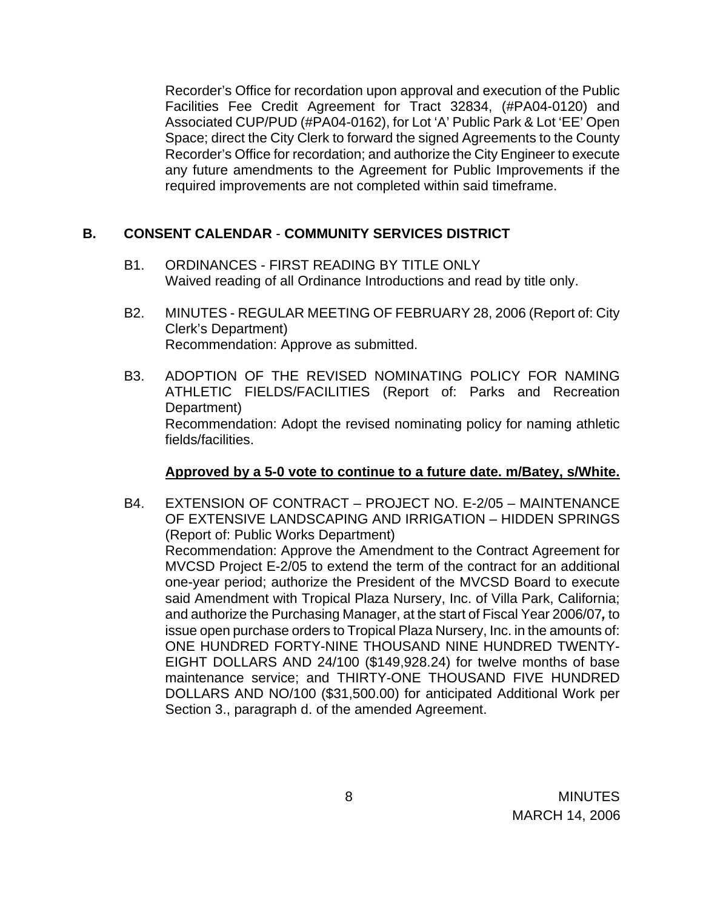Recorder's Office for recordation upon approval and execution of the Public Facilities Fee Credit Agreement for Tract 32834, (#PA04-0120) and Associated CUP/PUD (#PA04-0162), for Lot 'A' Public Park & Lot 'EE' Open Space; direct the City Clerk to forward the signed Agreements to the County Recorder's Office for recordation; and authorize the City Engineer to execute any future amendments to the Agreement for Public Improvements if the required improvements are not completed within said timeframe.

## **B. CONSENT CALENDAR** - **COMMUNITY SERVICES DISTRICT**

- B1. ORDINANCES FIRST READING BY TITLE ONLY Waived reading of all Ordinance Introductions and read by title only.
- B2. MINUTES REGULAR MEETING OF FEBRUARY 28, 2006 (Report of: City Clerk's Department) Recommendation: Approve as submitted.
- B3. ADOPTION OF THE REVISED NOMINATING POLICY FOR NAMING ATHLETIC FIELDS/FACILITIES (Report of: Parks and Recreation Department) Recommendation: Adopt the revised nominating policy for naming athletic fields/facilities.

### **Approved by a 5-0 vote to continue to a future date. m/Batey, s/White.**

B4. EXTENSION OF CONTRACT – PROJECT NO. E-2/05 – MAINTENANCE OF EXTENSIVE LANDSCAPING AND IRRIGATION – HIDDEN SPRINGS (Report of: Public Works Department) Recommendation: Approve the Amendment to the Contract Agreement for MVCSD Project E-2/05 to extend the term of the contract for an additional one-year period; authorize the President of the MVCSD Board to execute said Amendment with Tropical Plaza Nursery, Inc. of Villa Park, California; and authorize the Purchasing Manager, at the start of Fiscal Year 2006/07*,* to issue open purchase orders to Tropical Plaza Nursery, Inc. in the amounts of: ONE HUNDRED FORTY-NINE THOUSAND NINE HUNDRED TWENTY-EIGHT DOLLARS AND 24/100 (\$149,928.24) for twelve months of base maintenance service; and THIRTY-ONE THOUSAND FIVE HUNDRED DOLLARS AND NO/100 (\$31,500.00) for anticipated Additional Work per Section 3., paragraph d. of the amended Agreement.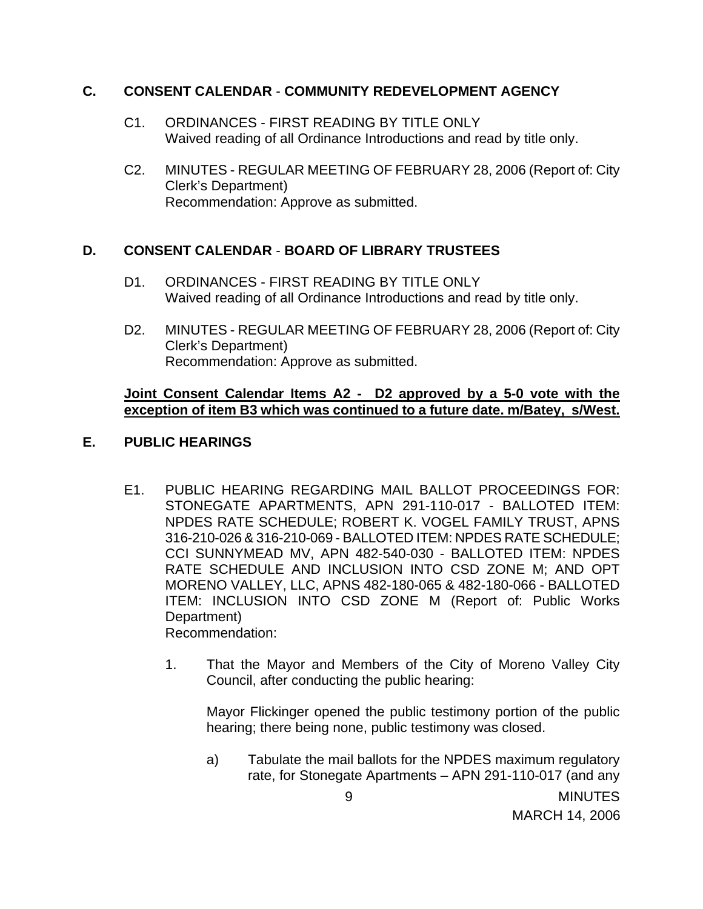## **C. CONSENT CALENDAR** - **COMMUNITY REDEVELOPMENT AGENCY**

- C1. ORDINANCES FIRST READING BY TITLE ONLY Waived reading of all Ordinance Introductions and read by title only.
- C2. MINUTES REGULAR MEETING OF FEBRUARY 28, 2006 (Report of: City Clerk's Department) Recommendation: Approve as submitted.

# **D. CONSENT CALENDAR** - **BOARD OF LIBRARY TRUSTEES**

- D1. ORDINANCES FIRST READING BY TITLE ONLY Waived reading of all Ordinance Introductions and read by title only.
- D2. MINUTES REGULAR MEETING OF FEBRUARY 28, 2006 (Report of: City Clerk's Department) Recommendation: Approve as submitted.

### **Joint Consent Calendar Items A2 - D2 approved by a 5-0 vote with the exception of item B3 which was continued to a future date. m/Batey, s/West.**

## **E. PUBLIC HEARINGS**

- E1. PUBLIC HEARING REGARDING MAIL BALLOT PROCEEDINGS FOR: STONEGATE APARTMENTS, APN 291-110-017 - BALLOTED ITEM: NPDES RATE SCHEDULE; ROBERT K. VOGEL FAMILY TRUST, APNS 316-210-026 & 316-210-069 - BALLOTED ITEM: NPDES RATE SCHEDULE; CCI SUNNYMEAD MV, APN 482-540-030 - BALLOTED ITEM: NPDES RATE SCHEDULE AND INCLUSION INTO CSD ZONE M; AND OPT MORENO VALLEY, LLC, APNS 482-180-065 & 482-180-066 - BALLOTED ITEM: INCLUSION INTO CSD ZONE M (Report of: Public Works Department) Recommendation:
	- 1. That the Mayor and Members of the City of Moreno Valley City Council, after conducting the public hearing:

 Mayor Flickinger opened the public testimony portion of the public hearing; there being none, public testimony was closed.

a) Tabulate the mail ballots for the NPDES maximum regulatory rate, for Stonegate Apartments – APN 291-110-017 (and any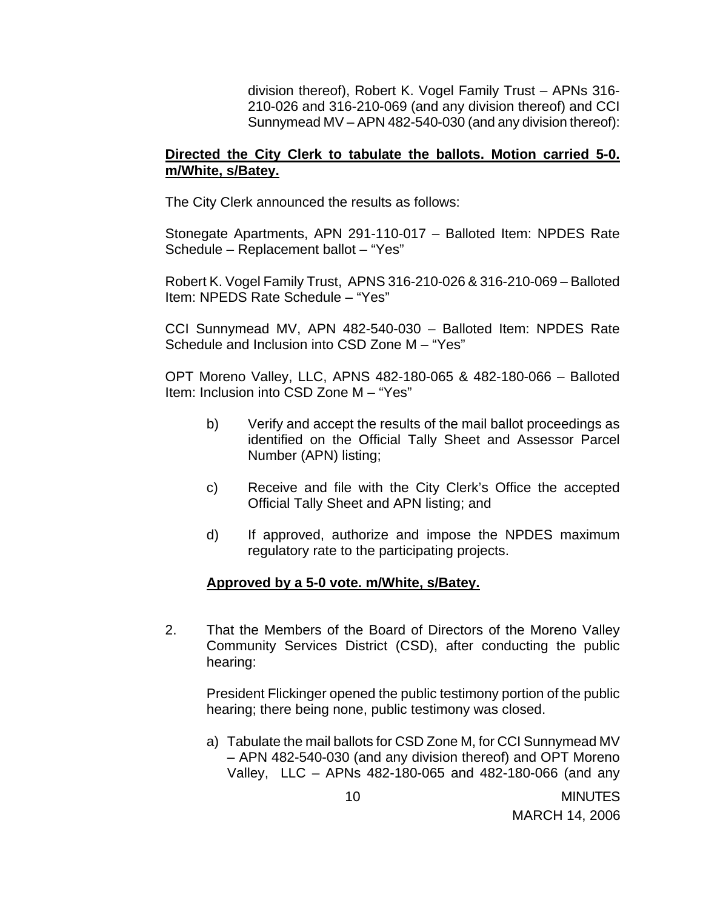division thereof), Robert K. Vogel Family Trust – APNs 316- 210-026 and 316-210-069 (and any division thereof) and CCI Sunnymead MV – APN 482-540-030 (and any division thereof):

#### **Directed the City Clerk to tabulate the ballots. Motion carried 5-0. m/White, s/Batey.**

The City Clerk announced the results as follows:

 Stonegate Apartments, APN 291-110-017 – Balloted Item: NPDES Rate Schedule – Replacement ballot – "Yes"

 Robert K. Vogel Family Trust, APNS 316-210-026 & 316-210-069 – Balloted Item: NPEDS Rate Schedule – "Yes"

 CCI Sunnymead MV, APN 482-540-030 – Balloted Item: NPDES Rate Schedule and Inclusion into CSD Zone M – "Yes"

OPT Moreno Valley, LLC, APNS 482-180-065 & 482-180-066 – Balloted Item: Inclusion into CSD Zone M – "Yes"

- b) Verify and accept the results of the mail ballot proceedings as identified on the Official Tally Sheet and Assessor Parcel Number (APN) listing;
- c) Receive and file with the City Clerk's Office the accepted Official Tally Sheet and APN listing; and
- d) If approved, authorize and impose the NPDES maximum regulatory rate to the participating projects.

### **Approved by a 5-0 vote. m/White, s/Batey.**

2. That the Members of the Board of Directors of the Moreno Valley Community Services District (CSD), after conducting the public hearing:

 President Flickinger opened the public testimony portion of the public hearing; there being none, public testimony was closed.

a) Tabulate the mail ballots for CSD Zone M, for CCI Sunnymead MV – APN 482-540-030 (and any division thereof) and OPT Moreno Valley, LLC – APNs 482-180-065 and 482-180-066 (and any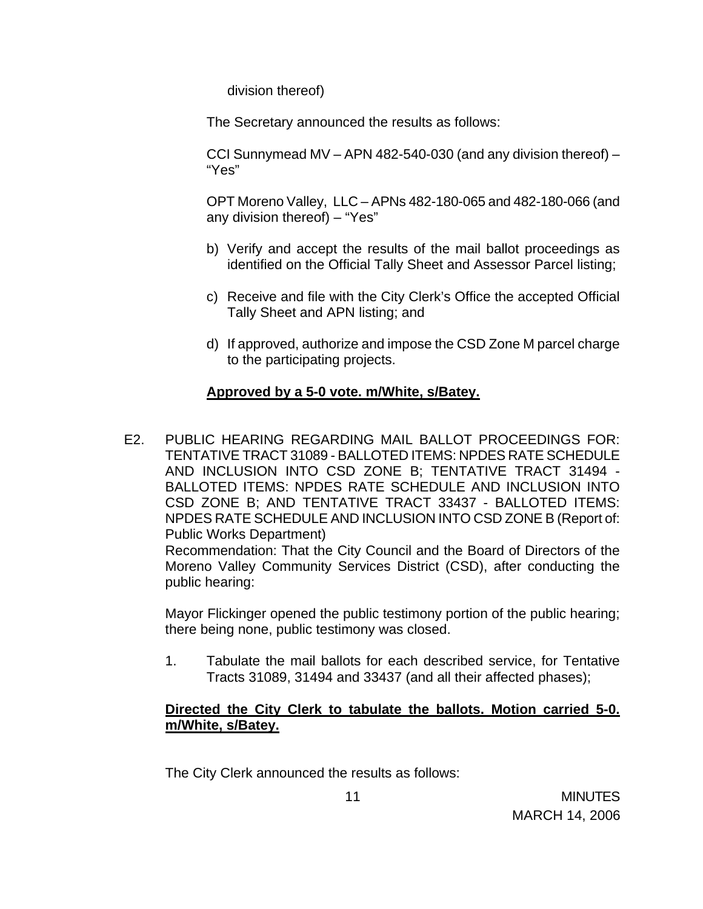division thereof)

The Secretary announced the results as follows:

CCI Sunnymead MV – APN 482-540-030 (and any division thereof) – "Yes"

 OPT Moreno Valley, LLC – APNs 482-180-065 and 482-180-066 (and any division thereof) – "Yes"

- b) Verify and accept the results of the mail ballot proceedings as identified on the Official Tally Sheet and Assessor Parcel listing;
- c) Receive and file with the City Clerk's Office the accepted Official Tally Sheet and APN listing; and
- d) If approved, authorize and impose the CSD Zone M parcel charge to the participating projects.

### **Approved by a 5-0 vote. m/White, s/Batey.**

E2. PUBLIC HEARING REGARDING MAIL BALLOT PROCEEDINGS FOR: TENTATIVE TRACT 31089 - BALLOTED ITEMS: NPDES RATE SCHEDULE AND INCLUSION INTO CSD ZONE B; TENTATIVE TRACT 31494 - BALLOTED ITEMS: NPDES RATE SCHEDULE AND INCLUSION INTO CSD ZONE B; AND TENTATIVE TRACT 33437 - BALLOTED ITEMS: NPDES RATE SCHEDULE AND INCLUSION INTO CSD ZONE B (Report of: Public Works Department)

 Recommendation: That the City Council and the Board of Directors of the Moreno Valley Community Services District (CSD), after conducting the public hearing:

 Mayor Flickinger opened the public testimony portion of the public hearing; there being none, public testimony was closed.

1. Tabulate the mail ballots for each described service, for Tentative Tracts 31089, 31494 and 33437 (and all their affected phases);

## **Directed the City Clerk to tabulate the ballots. Motion carried 5-0. m/White, s/Batey.**

The City Clerk announced the results as follows: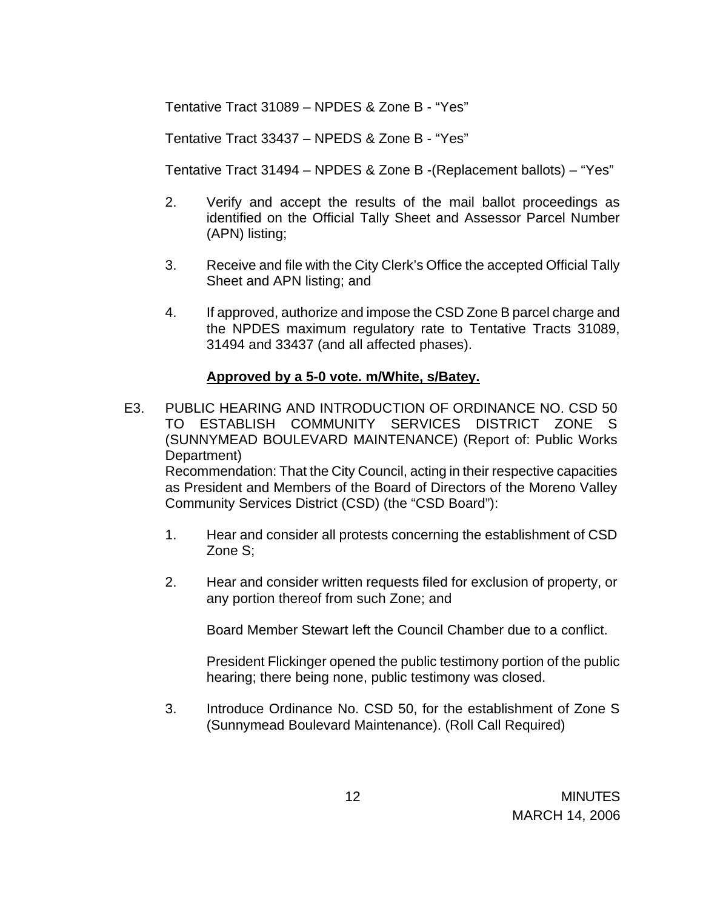Tentative Tract 31089 – NPDES & Zone B - "Yes"

Tentative Tract 33437 – NPEDS & Zone B - "Yes"

Tentative Tract 31494 – NPDES & Zone B -(Replacement ballots) – "Yes"

- 2. Verify and accept the results of the mail ballot proceedings as identified on the Official Tally Sheet and Assessor Parcel Number (APN) listing;
- 3. Receive and file with the City Clerk's Office the accepted Official Tally Sheet and APN listing; and
- 4. If approved, authorize and impose the CSD Zone B parcel charge and the NPDES maximum regulatory rate to Tentative Tracts 31089, 31494 and 33437 (and all affected phases).

### **Approved by a 5-0 vote. m/White, s/Batey.**

E3. PUBLIC HEARING AND INTRODUCTION OF ORDINANCE NO. CSD 50 TO ESTABLISH COMMUNITY SERVICES DISTRICT ZONE S (SUNNYMEAD BOULEVARD MAINTENANCE) (Report of: Public Works Department)

 Recommendation: That the City Council, acting in their respective capacities as President and Members of the Board of Directors of the Moreno Valley Community Services District (CSD) (the "CSD Board"):

- 1. Hear and consider all protests concerning the establishment of CSD Zone S;
- 2. Hear and consider written requests filed for exclusion of property, or any portion thereof from such Zone; and

Board Member Stewart left the Council Chamber due to a conflict.

 President Flickinger opened the public testimony portion of the public hearing; there being none, public testimony was closed.

3. Introduce Ordinance No. CSD 50, for the establishment of Zone S (Sunnymead Boulevard Maintenance). (Roll Call Required)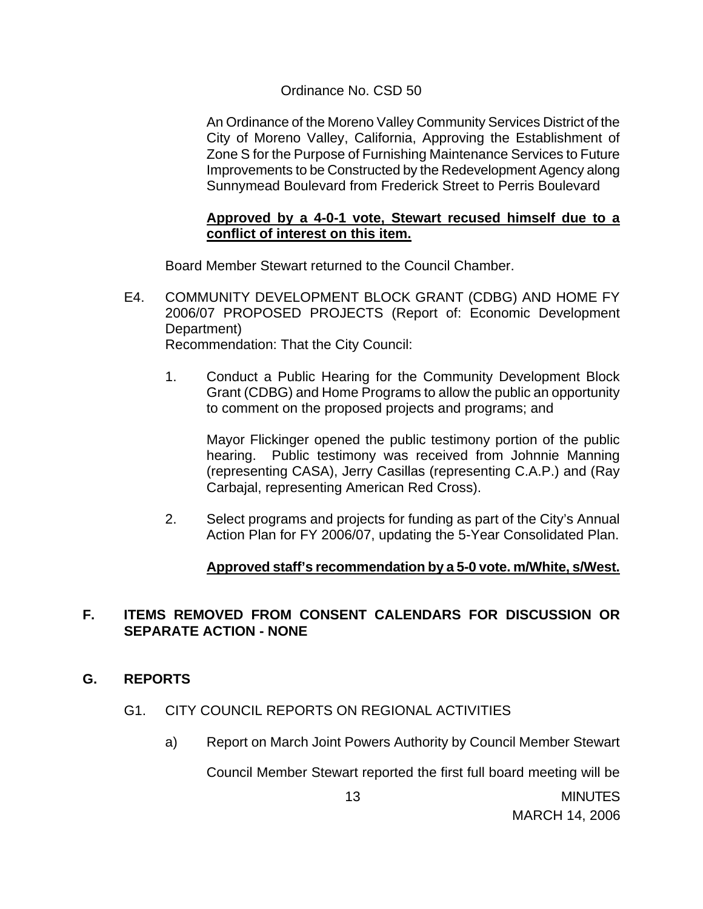## Ordinance No. CSD 50

 An Ordinance of the Moreno Valley Community Services District of the City of Moreno Valley, California, Approving the Establishment of Zone S for the Purpose of Furnishing Maintenance Services to Future Improvements to be Constructed by the Redevelopment Agency along Sunnymead Boulevard from Frederick Street to Perris Boulevard

### **Approved by a 4-0-1 vote, Stewart recused himself due to a conflict of interest on this item.**

Board Member Stewart returned to the Council Chamber.

- E4. COMMUNITY DEVELOPMENT BLOCK GRANT (CDBG) AND HOME FY 2006/07 PROPOSED PROJECTS (Report of: Economic Development Department) Recommendation: That the City Council:
	- 1. Conduct a Public Hearing for the Community Development Block Grant (CDBG) and Home Programs to allow the public an opportunity to comment on the proposed projects and programs; and

Mayor Flickinger opened the public testimony portion of the public hearing. Public testimony was received from Johnnie Manning (representing CASA), Jerry Casillas (representing C.A.P.) and (Ray Carbajal, representing American Red Cross).

2. Select programs and projects for funding as part of the City's Annual Action Plan for FY 2006/07, updating the 5-Year Consolidated Plan.

# **Approved staff's recommendation by a 5-0 vote. m/White, s/West.**

## **F. ITEMS REMOVED FROM CONSENT CALENDARS FOR DISCUSSION OR SEPARATE ACTION - NONE**

### **G. REPORTS**

### G1. CITY COUNCIL REPORTS ON REGIONAL ACTIVITIES

a) Report on March Joint Powers Authority by Council Member Stewart

Council Member Stewart reported the first full board meeting will be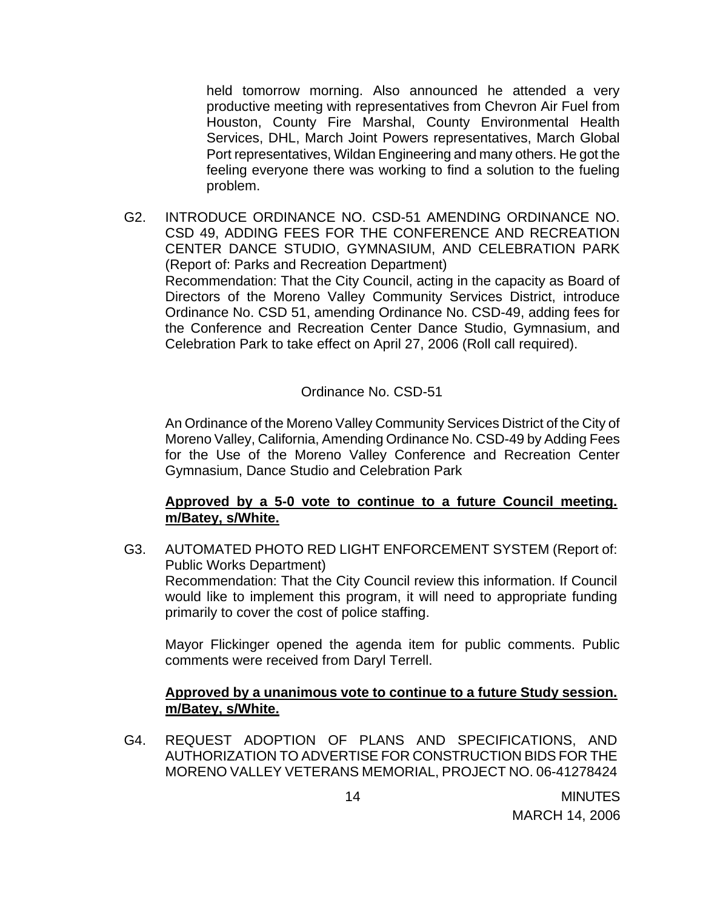held tomorrow morning. Also announced he attended a very productive meeting with representatives from Chevron Air Fuel from Houston, County Fire Marshal, County Environmental Health Services, DHL, March Joint Powers representatives, March Global Port representatives, Wildan Engineering and many others. He got the feeling everyone there was working to find a solution to the fueling problem.

G2. INTRODUCE ORDINANCE NO. CSD-51 AMENDING ORDINANCE NO. CSD 49, ADDING FEES FOR THE CONFERENCE AND RECREATION CENTER DANCE STUDIO, GYMNASIUM, AND CELEBRATION PARK (Report of: Parks and Recreation Department) Recommendation: That the City Council, acting in the capacity as Board of Directors of the Moreno Valley Community Services District, introduce Ordinance No. CSD 51, amending Ordinance No. CSD-49, adding fees for the Conference and Recreation Center Dance Studio, Gymnasium, and Celebration Park to take effect on April 27, 2006 (Roll call required).

Ordinance No. CSD-51

 An Ordinance of the Moreno Valley Community Services District of the City of Moreno Valley, California, Amending Ordinance No. CSD-49 by Adding Fees for the Use of the Moreno Valley Conference and Recreation Center Gymnasium, Dance Studio and Celebration Park

### **Approved by a 5-0 vote to continue to a future Council meeting. m/Batey, s/White.**

G3. AUTOMATED PHOTO RED LIGHT ENFORCEMENT SYSTEM (Report of: Public Works Department) Recommendation: That the City Council review this information. If Council would like to implement this program, it will need to appropriate funding primarily to cover the cost of police staffing.

 Mayor Flickinger opened the agenda item for public comments. Public comments were received from Daryl Terrell.

### **Approved by a unanimous vote to continue to a future Study session. m/Batey, s/White.**

G4. REQUEST ADOPTION OF PLANS AND SPECIFICATIONS, AND AUTHORIZATION TO ADVERTISE FOR CONSTRUCTION BIDS FOR THE MORENO VALLEY VETERANS MEMORIAL, PROJECT NO. 06-41278424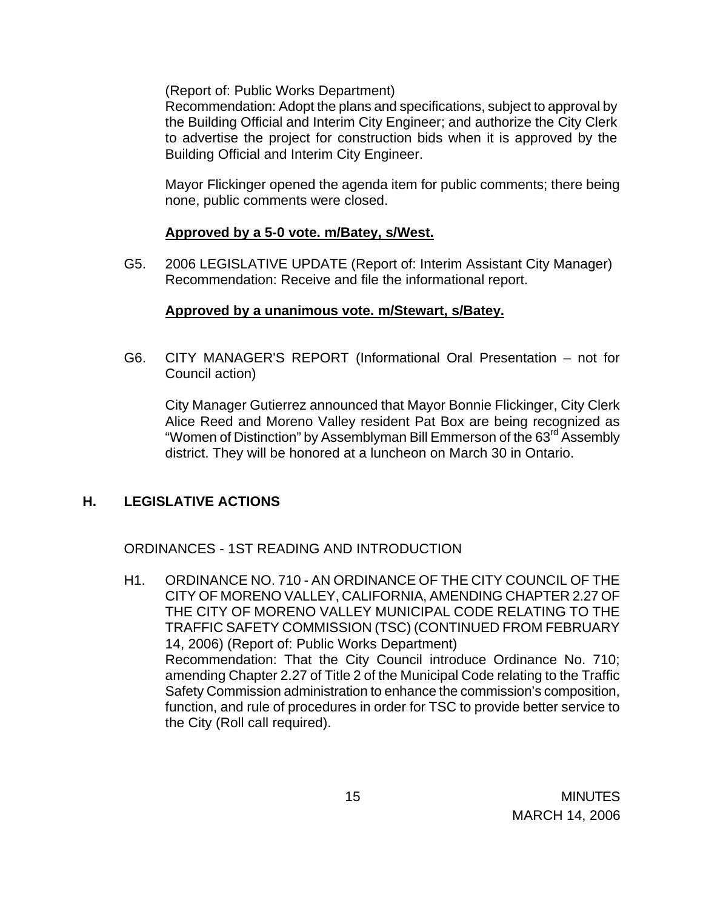(Report of: Public Works Department)

 Recommendation: Adopt the plans and specifications, subject to approval by the Building Official and Interim City Engineer; and authorize the City Clerk to advertise the project for construction bids when it is approved by the Building Official and Interim City Engineer.

 Mayor Flickinger opened the agenda item for public comments; there being none, public comments were closed.

## **Approved by a 5-0 vote. m/Batey, s/West.**

G5. 2006 LEGISLATIVE UPDATE (Report of: Interim Assistant City Manager) Recommendation: Receive and file the informational report.

## **Approved by a unanimous vote. m/Stewart, s/Batey.**

G6. CITY MANAGER'S REPORT (Informational Oral Presentation – not for Council action)

 City Manager Gutierrez announced that Mayor Bonnie Flickinger, City Clerk Alice Reed and Moreno Valley resident Pat Box are being recognized as "Women of Distinction" by Assemblyman Bill Emmerson of the 63<sup>rd</sup> Assembly district. They will be honored at a luncheon on March 30 in Ontario.

# **H. LEGISLATIVE ACTIONS**

ORDINANCES - 1ST READING AND INTRODUCTION

H1. ORDINANCE NO. 710 - AN ORDINANCE OF THE CITY COUNCIL OF THE CITY OF MORENO VALLEY, CALIFORNIA, AMENDING CHAPTER 2.27 OF THE CITY OF MORENO VALLEY MUNICIPAL CODE RELATING TO THE TRAFFIC SAFETY COMMISSION (TSC) (CONTINUED FROM FEBRUARY 14, 2006) (Report of: Public Works Department) Recommendation: That the City Council introduce Ordinance No. 710; amending Chapter 2.27 of Title 2 of the Municipal Code relating to the Traffic Safety Commission administration to enhance the commission's composition, function, and rule of procedures in order for TSC to provide better service to the City (Roll call required).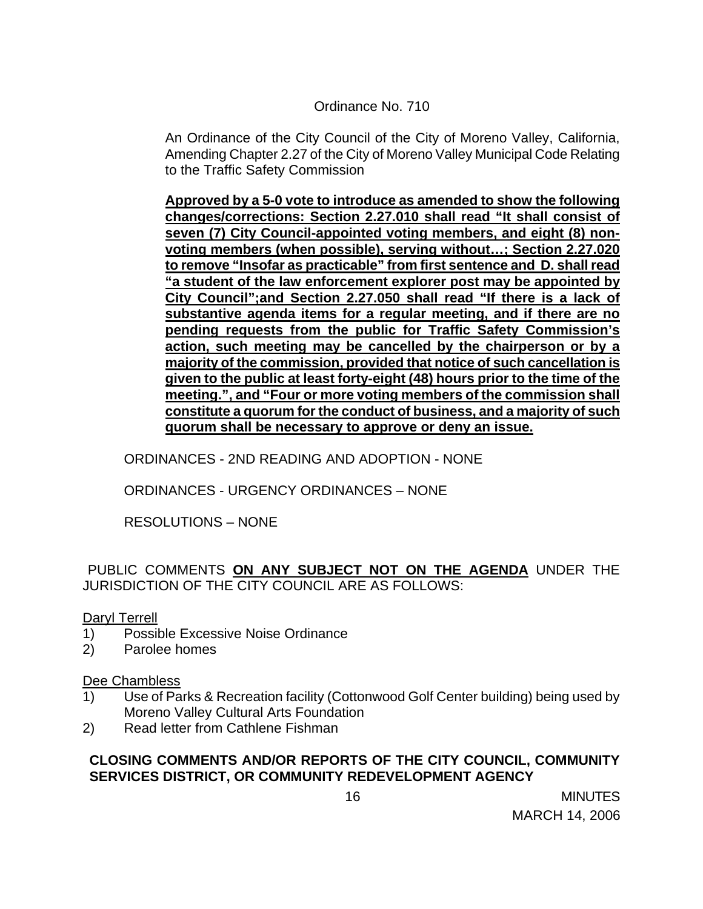## Ordinance No. 710

An Ordinance of the City Council of the City of Moreno Valley, California, Amending Chapter 2.27 of the City of Moreno Valley Municipal Code Relating to the Traffic Safety Commission

**Approved by a 5-0 vote to introduce as amended to show the following changes/corrections: Section 2.27.010 shall read "It shall consist of seven (7) City Council-appointed voting members, and eight (8) nonvoting members (when possible), serving without…; Section 2.27.020 to remove "Insofar as practicable" from first sentence and D. shall read "a student of the law enforcement explorer post may be appointed by City Council";and Section 2.27.050 shall read "If there is a lack of substantive agenda items for a regular meeting, and if there are no pending requests from the public for Traffic Safety Commission's action, such meeting may be cancelled by the chairperson or by a majority of the commission, provided that notice of such cancellation is given to the public at least forty-eight (48) hours prior to the time of the meeting.", and "Four or more voting members of the commission shall constitute a quorum for the conduct of business, and a majority of such quorum shall be necessary to approve or deny an issue.** 

ORDINANCES - 2ND READING AND ADOPTION - NONE

ORDINANCES - URGENCY ORDINANCES – NONE

RESOLUTIONS – NONE

PUBLIC COMMENTS **ON ANY SUBJECT NOT ON THE AGENDA** UNDER THE JURISDICTION OF THE CITY COUNCIL ARE AS FOLLOWS:

Daryl Terrell

- 1) Possible Excessive Noise Ordinance
- 2) Parolee homes

Dee Chambless

- 1) Use of Parks & Recreation facility (Cottonwood Golf Center building) being used by Moreno Valley Cultural Arts Foundation
- 2) Read letter from Cathlene Fishman

## **CLOSING COMMENTS AND/OR REPORTS OF THE CITY COUNCIL, COMMUNITY SERVICES DISTRICT, OR COMMUNITY REDEVELOPMENT AGENCY**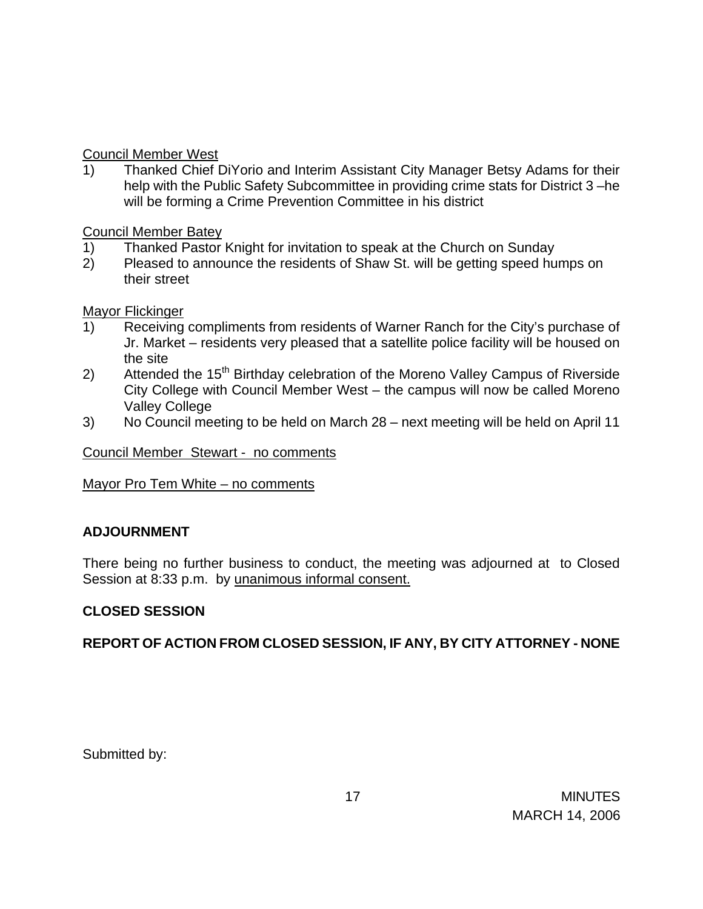## Council Member West

1) Thanked Chief DiYorio and Interim Assistant City Manager Betsy Adams for their help with the Public Safety Subcommittee in providing crime stats for District 3 –he will be forming a Crime Prevention Committee in his district

Council Member Batey

- 1) Thanked Pastor Knight for invitation to speak at the Church on Sunday
- 2) Pleased to announce the residents of Shaw St. will be getting speed humps on their street

Mayor Flickinger

- 1) Receiving compliments from residents of Warner Ranch for the City's purchase of Jr. Market – residents very pleased that a satellite police facility will be housed on the site
- 2) Attended the 15<sup>th</sup> Birthday celebration of the Moreno Valley Campus of Riverside City College with Council Member West – the campus will now be called Moreno Valley College
- 3) No Council meeting to be held on March 28 next meeting will be held on April 11

Council Member Stewart - no comments

Mayor Pro Tem White – no comments

# **ADJOURNMENT**

There being no further business to conduct, the meeting was adjourned at to Closed Session at 8:33 p.m. by unanimous informal consent.

# **CLOSED SESSION**

**REPORT OF ACTION FROM CLOSED SESSION, IF ANY, BY CITY ATTORNEY - NONE** 

Submitted by: